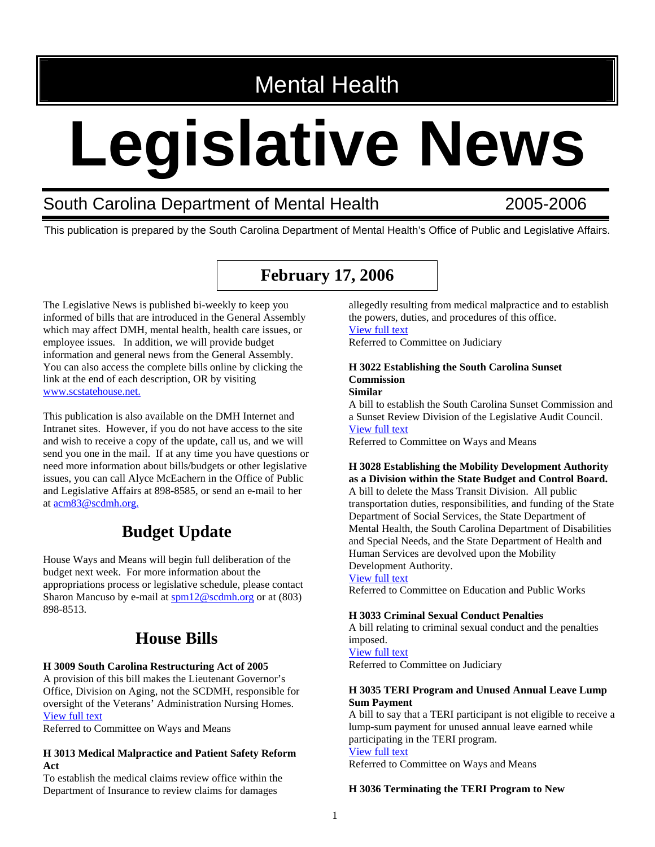# Mental Health

# **Legislative News**

## South Carolina Department of Mental Health 2005-2006

This publication is prepared by the South Carolina Department of Mental Health's Office of Public and Legislative Affairs.

## **February 17, 2006**

The Legislative News is published bi-weekly to keep you informed of bills that are introduced in the General Assembly which may affect DMH, mental health, health care issues, or employee issues. In addition, we will provide budget information and general news from the General Assembly. You can also access the complete bills online by clicking the link at the end of each description, OR by visiting [www.scstatehouse.net.](http://www.scstatehouse.net/)

This publication is also available on the DMH Internet and Intranet sites. However, if you do not have access to the site and wish to receive a copy of the update, call us, and we will send you one in the mail. If at any time you have questions or need more information about bills/budgets or other legislative issues, you can call Alyce McEachern in the Office of Public and Legislative Affairs at 898-8585, or send an e-mail to her at acm83@scdmh.org.

## **Budget Update**

House Ways and Means will begin full deliberation of the budget next week. For more information about the appropriations process or legislative schedule, please contact Sharon Mancuso by e-mail at [spm12@scdmh.org](mailto:spm12@scdmh.org) or at (803) 898-8513.

## **House Bills**

## **H 3009 South Carolina Restructuring Act of 2005**

A provision of this bill makes the Lieutenant Governor's Office, Division on Aging, not the SCDMH, responsible for oversight of the Veterans' Administration Nursing Homes. [View full text](http://www.scstatehouse.net/sess116_2005-2006/bills/3009.htm)

Referred to Committee on Ways and Means

## **H 3013 Medical Malpractice and Patient Safety Reform Act**

To establish the medical claims review office within the Department of Insurance to review claims for damages

allegedly resulting from medical malpractice and to establish the powers, duties, and procedures of this office. [View full text](http://www.scstatehouse.net/sess116_2005-2006/bills/3013.htm)

Referred to Committee on Judiciary

#### **H 3022 Establishing the South Carolina Sunset Commission Similar**

A bill to establish the South Carolina Sunset Commission and a Sunset Review Division of the Legislative Audit Council. [View full text](http://www.scstatehouse.net/sess116_2005-2006/bills/3022.htm)

Referred to Committee on Ways and Means

**H 3028 Establishing the Mobility Development Authority as a Division within the State Budget and Control Board.**  A bill to delete the Mass Transit Division. All public transportation duties, responsibilities, and funding of the State Department of Social Services, the State Department of Mental Health, the South Carolina Department of Disabilities and Special Needs, and the State Department of Health and Human Services are devolved upon the Mobility Development Authority.

## [View full text](http://www.scstatehouse.net/sess116_2005-2006/bills/3028.htm)

Referred to Committee on Education and Public Works

## **H 3033 Criminal Sexual Conduct Penalties**

A bill relating to criminal sexual conduct and the penalties imposed.

## [View full text](http://www.scstatehouse.net/sess116_2005-2006/bills/3033.htm)

Referred to Committee on Judiciary

## **H 3035 TERI Program and Unused Annual Leave Lump Sum Payment**

A bill to say that a TERI participant is not eligible to receive a lump-sum payment for unused annual leave earned while participating in the TERI program. [View full text](http://www.scstatehouse.net/sess116_2005-2006/bills/3035.htm)

Referred to Committee on Ways and Means

## **H 3036 Terminating the TERI Program to New**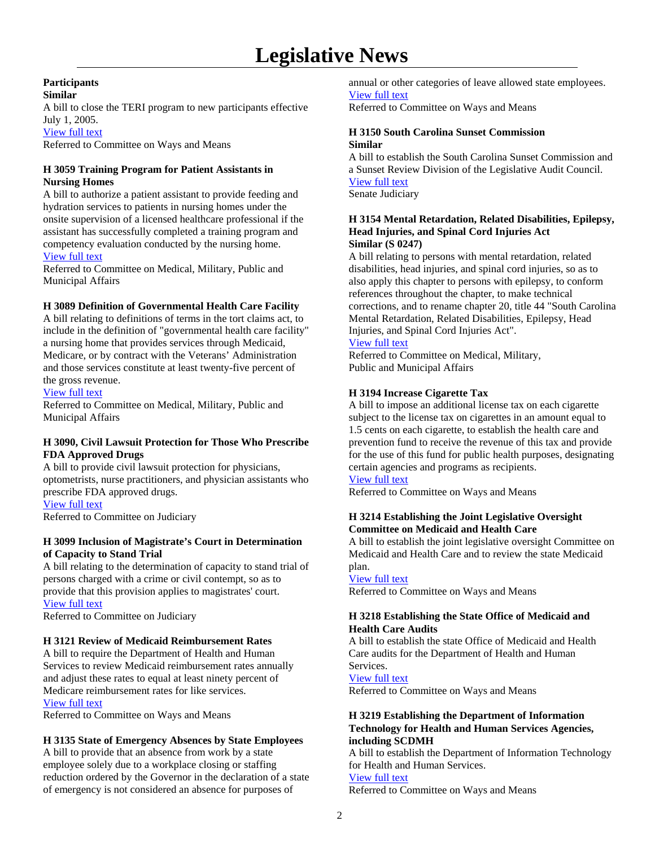## **Participants Similar**

A bill to close the TERI program to new participants effective July 1, 2005.

## [View full text](http://www.scstatehouse.net/sess116_2005-2006/bills/3036.htm)

Referred to Committee on Ways and Means

## **H 3059 Training Program for Patient Assistants in Nursing Homes**

A bill to authorize a patient assistant to provide feeding and hydration services to patients in nursing homes under the onsite supervision of a licensed healthcare professional if the assistant has successfully completed a training program and competency evaluation conducted by the nursing home. [View full text](http://www.scstatehouse.net/sess116_2005-2006/bills/3059.htm)

Referred to Committee on Medical, Military, Public and Municipal Affairs

## **H 3089 Definition of Governmental Health Care Facility**

A bill relating to definitions of terms in the tort claims act, to include in the definition of "governmental health care facility" a nursing home that provides services through Medicaid, Medicare, or by contract with the Veterans' Administration and those services constitute at least twenty-five percent of the gross revenue.

## [View full text](http://www.scstatehouse.net/sess116_2005-2006/bills/3089.htm)

Referred to Committee on Medical, Military, Public and Municipal Affairs

## **H 3090, Civil Lawsuit Protection for Those Who Prescribe FDA Approved Drugs**

A bill to provide civil lawsuit protection for physicians, optometrists, nurse practitioners, and physician assistants who prescribe FDA approved drugs. [View full text](http://www.scstatehouse.net/sess116_2005-2006/bills/3090.htm)

Referred to Committee on Judiciary

## **H 3099 Inclusion of Magistrate's Court in Determination of Capacity to Stand Trial**

A bill relating to the determination of capacity to stand trial of persons charged with a crime or civil contempt, so as to provide that this provision applies to magistrates' court. [View full text](http://www.scstatehouse.net/sess116_2005-2006/bills/3099.htm)

Referred to Committee on Judiciary

## **H 3121 Review of Medicaid Reimbursement Rates**

A bill to require the Department of Health and Human Services to review Medicaid reimbursement rates annually and adjust these rates to equal at least ninety percent of Medicare reimbursement rates for like services. [View full text](http://www.scstatehouse.net/sess116_2005-2006/bills/3121.htm)

Referred to Committee on Ways and Means

## **H 3135 State of Emergency Absences by State Employees**

A bill to provide that an absence from work by a state employee solely due to a workplace closing or staffing reduction ordered by the Governor in the declaration of a state of emergency is not considered an absence for purposes of

annual or other categories of leave allowed state employees. [View full text](http://www.scstatehouse.net/sess116_2005-2006/bills/3135.htm) Referred to Committee on Ways and Means

**H 3150 South Carolina Sunset Commission Similar** 

A bill to establish the South Carolina Sunset Commission and a Sunset Review Division of the Legislative Audit Council. [View full text](http://www.scstatehouse.net/sess116_2005-2006/bills/3150.htm) Senate Judiciary

## **H 3154 Mental Retardation, Related Disabilities, Epilepsy, Head Injuries, and Spinal Cord Injuries Act Similar (S 0247)**

A bill relating to persons with mental retardation, related disabilities, head injuries, and spinal cord injuries, so as to also apply this chapter to persons with epilepsy, to conform references throughout the chapter, to make technical corrections, and to rename chapter 20, title 44 "South Carolina Mental Retardation, Related Disabilities, Epilepsy, Head Injuries, and Spinal Cord Injuries Act".

## [View full text](http://www.scstatehouse.net/sess116_2005-2006/bills/3154.htm)

Referred to Committee on Medical, Military, Public and Municipal Affairs

## **H 3194 Increase Cigarette Tax**

A bill to impose an additional license tax on each cigarette subject to the license tax on cigarettes in an amount equal to 1.5 cents on each cigarette, to establish the health care and prevention fund to receive the revenue of this tax and provide for the use of this fund for public health purposes, designating certain agencies and programs as recipients.

## [View full text](http://www.scstatehouse.net/sess116_2005-2006/bills/3194.htm)

Referred to Committee on Ways and Means

## **H 3214 Establishing the Joint Legislative Oversight Committee on Medicaid and Health Care**

A bill to establish the joint legislative oversight Committee on Medicaid and Health Care and to review the state Medicaid plan.

## [View full text](http://www.scstatehouse.net/sess116_2005-2006/bills/3214.htm)

Referred to Committee on Ways and Means

## **H 3218 Establishing the State Office of Medicaid and Health Care Audits**

A bill to establish the state Office of Medicaid and Health Care audits for the Department of Health and Human Services.

[View full text](http://www.scstatehouse.net/sess116_2005-2006/bills/3218.htm)

Referred to Committee on Ways and Means

## **H 3219 Establishing the Department of Information Technology for Health and Human Services Agencies, including SCDMH**

A bill to establish the Department of Information Technology for Health and Human Services. [View full text](http://www.scstatehouse.net/sess116_2005-2006/bills/3219.htm)

Referred to Committee on Ways and Means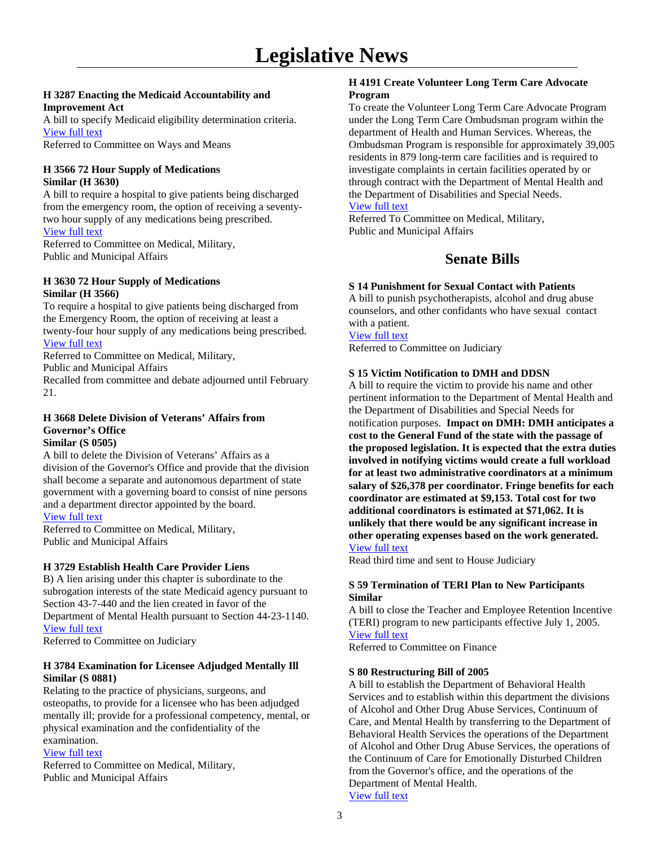## **H 3287 Enacting the Medicaid Accountability and Improvement Act**

A bill to specify Medicaid eligibility determination criteria. [View full text](http://www.scstatehouse.net/sess116_2005-2006/bills/3287.htm)

Referred to Committee on Ways and Means

## **H 3566 72 Hour Supply of Medications Similar (H 3630)**

A bill to require a hospital to give patients being discharged from the emergency room, the option of receiving a seventytwo hour supply of any medications being prescribed. [View full text](http://www.scstatehouse.net/sess116_2005-2006/bills/3566.htm)

Referred to Committee on Medical, Military, Public and Municipal Affairs

## **H 3630 72 Hour Supply of Medications Similar (H 3566)**

To require a hospital to give patients being discharged from the Emergency Room, the option of receiving at least a twenty-four hour supply of any medications being prescribed. [View full text](http://www.scstatehouse.net/sess116_2005-2006/bills/3630.htm)

Referred to Committee on Medical, Military,

Public and Municipal Affairs

Recalled from committee and debate adjourned until February 21.

## **H 3668 Delete Division of Veterans' Affairs from Governor's Office Similar (S 0505)**

A bill to delete the Division of Veterans' Affairs as a division of the Governor's Office and provide that the division shall become a separate and autonomous department of state government with a governing board to consist of nine persons and a department director appointed by the board.

[View full text](http://www.scstatehouse.net/sess116_2005-2006/bills/3668.htm) Referred to Committee on Medical, Military, Public and Municipal Affairs

## **H 3729 Establish Health Care Provider Liens**

B) A lien arising under this chapter is subordinate to the subrogation interests of the state Medicaid agency pursuant to Section 43-7-440 and the lien created in favor of the Department of Mental Health pursuant to Section 44-23-1140. [View full text](http://www.scstatehouse.net/sess116_2005-2006/bills/3729.htm)

Referred to Committee on Judiciary

## **H 3784 Examination for Licensee Adjudged Mentally Ill Similar (S 0881)**

Relating to the practice of physicians, surgeons, and osteopaths, to provide for a licensee who has been adjudged mentally ill; provide for a professional competency, mental, or physical examination and the confidentiality of the examination.

## [View full text](http://www.scstatehouse.net/sess116_2005-2006/bills/3784.htm)

Referred to Committee on Medical, Military, Public and Municipal Affairs

## **H 4191 Create Volunteer Long Term Care Advocate Program**

To create the Volunteer Long Term Care Advocate Program under the Long Term Care Ombudsman program within the department of Health and Human Services. Whereas, the Ombudsman Program is responsible for approximately 39,005 residents in 879 long-term care facilities and is required to investigate complaints in certain facilities operated by or through contract with the Department of Mental Health and the Department of Disabilities and Special Needs. [View full text](http://www.scstatehouse.net/sess116_2005-2006/bills/4191.htm)

Referred To Committee on Medical, Military, Public and Municipal Affairs

## **Senate Bills**

## **S 14 Punishment for Sexual Contact with Patients**

A bill to punish psychotherapists, alcohol and drug abuse counselors, and other confidants who have sexual contact with a patient.

## [View full text](http://www.scstatehouse.net/sess116_2005-2006/bills/14.htm)

Referred to Committee on Judiciary

## **S 15 Victim Notification to DMH and DDSN**

A bill to require the victim to provide his name and other pertinent information to the Department of Mental Health and the Department of Disabilities and Special Needs for notification purposes. **Impact on DMH: DMH anticipates a cost to the General Fund of the state with the passage of the proposed legislation. It is expected that the extra duties involved in notifying victims would create a full workload for at least two administrative coordinators at a minimum salary of \$26,378 per coordinator. Fringe benefits for each coordinator are estimated at \$9,153. Total cost for two additional coordinators is estimated at \$71,062. It is unlikely that there would be any significant increase in other operating expenses based on the work generated.**  [View full text](http://www.scstatehouse.net/sess116_2005-2006/bills/15.htm)

Read third time and sent to House Judiciary

## **S 59 Termination of TERI Plan to New Participants Similar**

A bill to close the Teacher and Employee Retention Incentive (TERI) program to new participants effective July 1, 2005. [View full text](http://www.scstatehouse.net/sess116_2005-2006/bills/59.htm)

Referred to Committee on Finance

## **S 80 Restructuring Bill of 2005**

A bill to establish the Department of Behavioral Health Services and to establish within this department the divisions of Alcohol and Other Drug Abuse Services, Continuum of Care, and Mental Health by transferring to the Department of Behavioral Health Services the operations of the Department of Alcohol and Other Drug Abuse Services, the operations of the Continuum of Care for Emotionally Disturbed Children from the Governor's office, and the operations of the Department of Mental Health. [View full text](http://www.scstatehouse.net/sess116_2005-2006/bills/80.htm)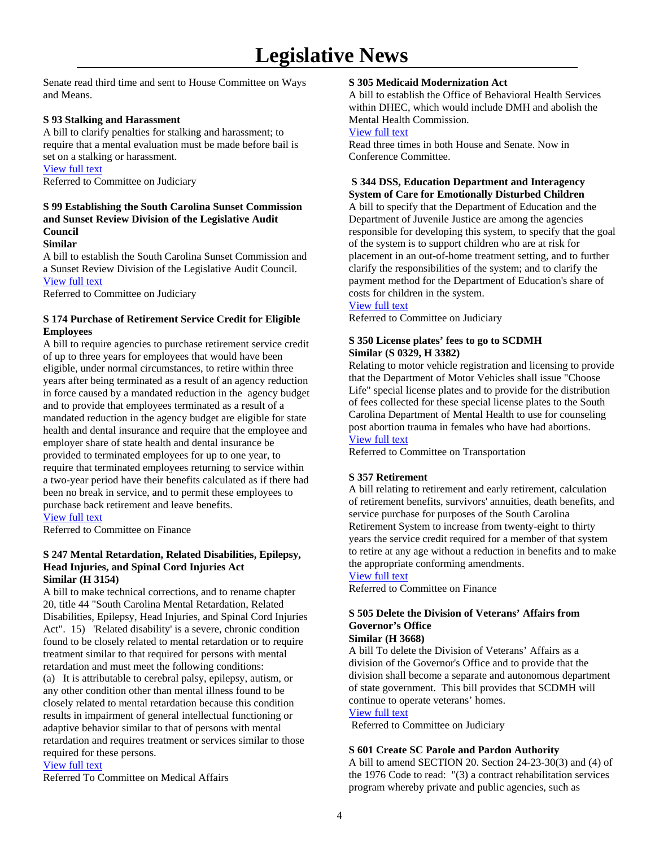Senate read third time and sent to House Committee on Ways and Means.

## **S 93 Stalking and Harassment**

A bill to clarify penalties for stalking and harassment; to require that a mental evaluation must be made before bail is set on a stalking or harassment. [View full text](http://www.scstatehouse.net/sess116_2005-2006/bills/93.htm)

Referred to Committee on Judiciary

## **S 99 Establishing the South Carolina Sunset Commission and Sunset Review Division of the Legislative Audit Council**

## **Similar**

A bill to establish the South Carolina Sunset Commission and a Sunset Review Division of the Legislative Audit Council. [View full text](http://www.scstatehouse.net/sess116_2005-2006/bills/99.htm)

Referred to Committee on Judiciary

## **S 174 Purchase of Retirement Service Credit for Eligible Employees**

A bill to require agencies to purchase retirement service credit of up to three years for employees that would have been eligible, under normal circumstances, to retire within three years after being terminated as a result of an agency reduction in force caused by a mandated reduction in the agency budget and to provide that employees terminated as a result of a mandated reduction in the agency budget are eligible for state health and dental insurance and require that the employee and employer share of state health and dental insurance be provided to terminated employees for up to one year, to require that terminated employees returning to service within a two-year period have their benefits calculated as if there had been no break in service, and to permit these employees to purchase back retirement and leave benefits. [View full text](http://www.scstatehouse.net/sess116_2005-2006/bills/174.htm)

Referred to Committee on Finance

## **S 247 Mental Retardation, Related Disabilities, Epilepsy, Head Injuries, and Spinal Cord Injuries Act Similar (H 3154)**

A bill to make technical corrections, and to rename chapter 20, title 44 "South Carolina Mental Retardation, Related Disabilities, Epilepsy, Head Injuries, and Spinal Cord Injuries Act". 15) 'Related disability' is a severe, chronic condition found to be closely related to mental retardation or to require treatment similar to that required for persons with mental retardation and must meet the following conditions: (a) It is attributable to cerebral palsy, epilepsy, autism, or any other condition other than mental illness found to be closely related to mental retardation because this condition results in impairment of general intellectual functioning or adaptive behavior similar to that of persons with mental retardation and requires treatment or services similar to those

required for these persons.

## [View full text](http://www.scstatehouse.net/sess116_2005-2006/bills/247.htm)

Referred To Committee on Medical Affairs

## **S 305 Medicaid Modernization Act**

A bill to establish the Office of Behavioral Health Services within DHEC, which would include DMH and abolish the Mental Health Commission.

## [View full text](http://www.scstatehouse.net/sess116_2005-2006/bills/305.htm)

Read three times in both House and Senate. Now in Conference Committee.

## **S 344 DSS, Education Department and Interagency System of Care for Emotionally Disturbed Children**

A bill to specify that the Department of Education and the Department of Juvenile Justice are among the agencies responsible for developing this system, to specify that the goal of the system is to support children who are at risk for placement in an out-of-home treatment setting, and to further clarify the responsibilities of the system; and to clarify the payment method for the Department of Education's share of costs for children in the system.

## [View full text](http://www.scstatehouse.net/sess116_2005-2006/bills/344.htm)

Referred to Committee on Judiciary

## **S 350 License plates' fees to go to SCDMH Similar (S 0329, H 3382)**

Relating to motor vehicle registration and licensing to provide that the Department of Motor Vehicles shall issue "Choose Life" special license plates and to provide for the distribution of fees collected for these special license plates to the South Carolina Department of Mental Health to use for counseling post abortion trauma in females who have had abortions. [View full text](http://www.scstatehouse.net/sess116_2005-2006/bills/350.htm)

Referred to Committee on Transportation

## **S 357 Retirement**

A bill relating to retirement and early retirement, calculation of retirement benefits, survivors' annuities, death benefits, and service purchase for purposes of the South Carolina Retirement System to increase from twenty-eight to thirty years the service credit required for a member of that system to retire at any age without a reduction in benefits and to make the appropriate conforming amendments.

## [View full text](http://www.scstatehouse.net/sess116_2005-2006/bills/357.htm)

Referred to Committee on Finance

### **S 505 Delete the Division of Veterans' Affairs from Governor's Office Similar (H 3668)**

A bill To delete the Division of Veterans' Affairs as a division of the Governor's Office and to provide that the division shall become a separate and autonomous department of state government. This bill provides that SCDMH will continue to operate veterans' homes.

#### [View full text](http://www.scstatehouse.net/sess116_2005-2006/bills/505.htm)

Referred to Committee on Judiciary

## **S 601 Create SC Parole and Pardon Authority**

A bill to amend SECTION 20. Section 24-23-30(3) and (4) of the 1976 Code to read: "(3) a contract rehabilitation services program whereby private and public agencies, such as